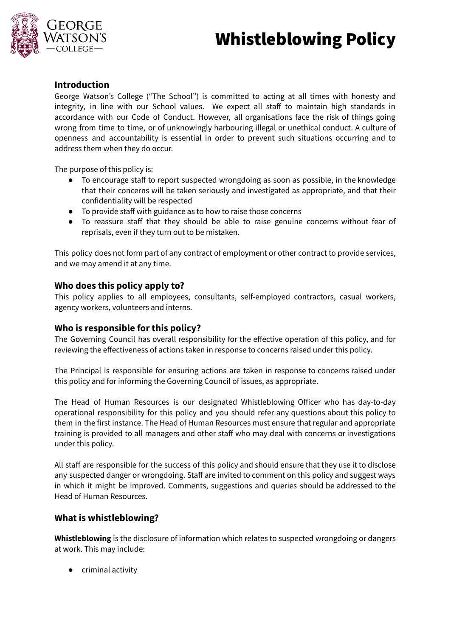# Whistleblowing Policy



# **Introduction**

George Watson's College ("The School") is committed to acting at all times with honesty and integrity, in line with our School values. We expect all staff to maintain high standards in accordance with our Code of Conduct. However, all organisations face the risk of things going wrong from time to time, or of unknowingly harbouring illegal or unethical conduct. A culture of openness and accountability is essential in order to prevent such situations occurring and to address them when they do occur.

The purpose of this policy is:

- To encourage staff to report suspected wrongdoing as soon as possible, in the knowledge that their concerns will be taken seriously and investigated as appropriate, and that their confidentiality will be respected
- To provide staff with guidance as to how to raise those concerns
- To reassure staff that they should be able to raise genuine concerns without fear of reprisals, even if they turn out to be mistaken.

This policy does not form part of any contract of employment or other contract to provide services, and we may amend it at any time.

## **Who does this policy apply to?**

This policy applies to all employees, consultants, self-employed contractors, casual workers, agency workers, volunteers and interns.

## **Who is responsible for this policy?**

The Governing Council has overall responsibility for the effective operation of this policy, and for reviewing the effectiveness of actions taken in response to concerns raised under this policy.

The Principal is responsible for ensuring actions are taken in response to concerns raised under this policy and for informing the Governing Council of issues, as appropriate.

The Head of Human Resources is our designated Whistleblowing Officer who has day-to-day operational responsibility for this policy and you should refer any questions about this policy to them in the first instance. The Head of Human Resources must ensure that regular and appropriate training is provided to all managers and other staff who may deal with concerns or investigations under this policy.

All staff are responsible for the success of this policy and should ensure that they use it to disclose any suspected danger or wrongdoing. Staff are invited to comment on this policy and suggest ways in which it might be improved. Comments, suggestions and queries should be addressed to the Head of Human Resources.

## **What is whistleblowing?**

**Whistleblowing** is the disclosure of information which relates to suspected wrongdoing or dangers at work. This may include:

● criminal activity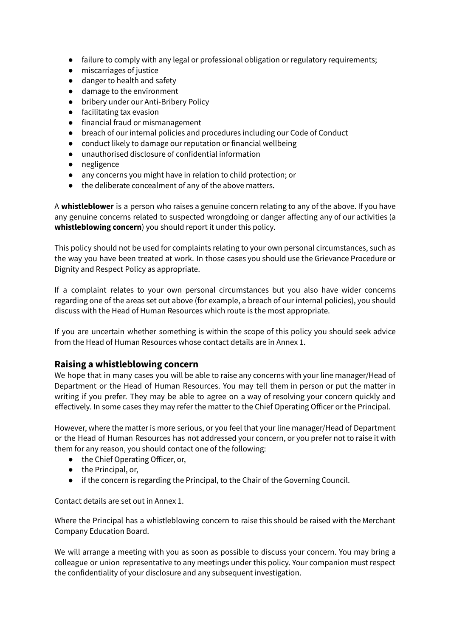- failure to comply with any legal or professional obligation or regulatory requirements;
- miscarriages of justice
- danger to health and safety
- damage to the environment
- bribery under our Anti-Bribery Policy
- facilitating tax evasion
- financial fraud or mismanagement
- breach of our internal policies and procedures including our Code of Conduct
- conduct likely to damage our reputation or financial wellbeing
- unauthorised disclosure of confidential information
- negligence
- any concerns you might have in relation to child protection; or
- the deliberate concealment of any of the above matters.

A **whistleblower** is a person who raises a genuine concern relating to any of the above. If you have any genuine concerns related to suspected wrongdoing or danger affecting any of our activities (a **whistleblowing concern**) you should report it under this policy.

This policy should not be used for complaints relating to your own personal circumstances, such as the way you have been treated at work. In those cases you should use the Grievance Procedure or Dignity and Respect Policy as appropriate.

If a complaint relates to your own personal circumstances but you also have wider concerns regarding one of the areas set out above (for example, a breach of our internal policies), you should discuss with the Head of Human Resources which route is the most appropriate.

If you are uncertain whether something is within the scope of this policy you should seek advice from the Head of Human Resources whose contact details are in Annex 1.

## **Raising a whistleblowing concern**

We hope that in many cases you will be able to raise any concerns with your line manager/Head of Department or the Head of Human Resources. You may tell them in person or put the matter in writing if you prefer. They may be able to agree on a way of resolving your concern quickly and effectively. In some cases they may refer the matter to the Chief Operating Officer or the Principal.

However, where the matter is more serious, or you feel that your line manager/Head of Department or the Head of Human Resources has not addressed your concern, or you prefer not to raise it with them for any reason, you should contact one of the following:

- the Chief Operating Officer, or,
- the Principal, or,
- if the concern is regarding the Principal, to the Chair of the Governing Council.

Contact details are set out in Annex 1.

Where the Principal has a whistleblowing concern to raise this should be raised with the Merchant Company Education Board.

We will arrange a meeting with you as soon as possible to discuss your concern. You may bring a colleague or union representative to any meetings under this policy. Your companion must respect the confidentiality of your disclosure and any subsequent investigation.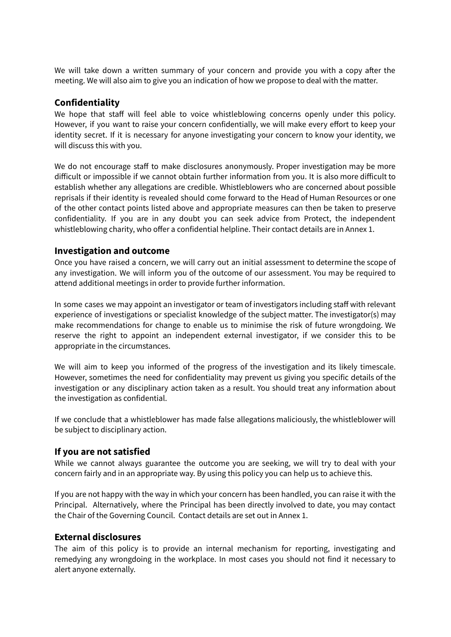We will take down a written summary of your concern and provide you with a copy after the meeting. We will also aim to give you an indication of how we propose to deal with the matter.

## **Confidentiality**

We hope that staff will feel able to voice whistleblowing concerns openly under this policy. However, if you want to raise your concern confidentially, we will make every effort to keep your identity secret. If it is necessary for anyone investigating your concern to know your identity, we will discuss this with you.

We do not encourage staff to make disclosures anonymously. Proper investigation may be more difficult or impossible if we cannot obtain further information from you. It is also more difficult to establish whether any allegations are credible. Whistleblowers who are concerned about possible reprisals if their identity is revealed should come forward to the Head of Human Resources or one of the other contact points listed above and appropriate measures can then be taken to preserve confidentiality. If you are in any doubt you can seek advice from Protect, the independent whistleblowing charity, who offer a confidential helpline. Their contact details are in Annex 1.

#### **Investigation and outcome**

Once you have raised a concern, we will carry out an initial assessment to determine the scope of any investigation. We will inform you of the outcome of our assessment. You may be required to attend additional meetings in order to provide further information.

In some cases we may appoint an investigator or team of investigators including staff with relevant experience of investigations or specialist knowledge of the subject matter. The investigator(s) may make recommendations for change to enable us to minimise the risk of future wrongdoing. We reserve the right to appoint an independent external investigator, if we consider this to be appropriate in the circumstances.

We will aim to keep you informed of the progress of the investigation and its likely timescale. However, sometimes the need for confidentiality may prevent us giving you specific details of the investigation or any disciplinary action taken as a result. You should treat any information about the investigation as confidential.

If we conclude that a whistleblower has made false allegations maliciously, the whistleblower will be subject to disciplinary action.

## **If you are not satisfied**

While we cannot always guarantee the outcome you are seeking, we will try to deal with your concern fairly and in an appropriate way. By using this policy you can help us to achieve this.

If you are not happy with the way in which your concern has been handled, you can raise it with the Principal. Alternatively, where the Principal has been directly involved to date, you may contact the Chair of the Governing Council. Contact details are set out in Annex 1.

#### **External disclosures**

The aim of this policy is to provide an internal mechanism for reporting, investigating and remedying any wrongdoing in the workplace. In most cases you should not find it necessary to alert anyone externally.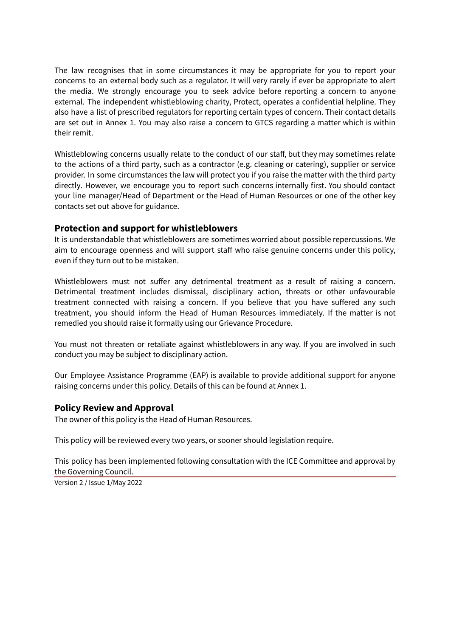The law recognises that in some circumstances it may be appropriate for you to report your concerns to an external body such as a regulator. It will very rarely if ever be appropriate to alert the media. We strongly encourage you to seek advice before reporting a concern to anyone external. The independent whistleblowing charity, Protect, operates a confidential helpline. They also have a list of prescribed regulators for reporting certain types of concern. Their contact details are set out in Annex 1. You may also raise a concern to GTCS regarding a matter which is within their remit.

Whistleblowing concerns usually relate to the conduct of our staff, but they may sometimes relate to the actions of a third party, such as a contractor (e.g. cleaning or catering), supplier or service provider. In some circumstances the law will protect you if you raise the matter with the third party directly. However, we encourage you to report such concerns internally first. You should contact your line manager/Head of Department or the Head of Human Resources or one of the other key contacts set out above for guidance.

#### **Protection and support for whistleblowers**

It is understandable that whistleblowers are sometimes worried about possible repercussions. We aim to encourage openness and will support staff who raise genuine concerns under this policy, even if they turn out to be mistaken.

Whistleblowers must not suffer any detrimental treatment as a result of raising a concern. Detrimental treatment includes dismissal, disciplinary action, threats or other unfavourable treatment connected with raising a concern. If you believe that you have suffered any such treatment, you should inform the Head of Human Resources immediately. If the matter is not remedied you should raise it formally using our Grievance Procedure.

You must not threaten or retaliate against whistleblowers in any way. If you are involved in such conduct you may be subject to disciplinary action.

Our Employee Assistance Programme (EAP) is available to provide additional support for anyone raising concerns under this policy. Details of this can be found at Annex 1.

## **Policy Review and Approval**

The owner of this policy is the Head of Human Resources.

This policy will be reviewed every two years, or sooner should legislation require.

This policy has been implemented following consultation with the ICE Committee and approval by the Governing Council.

Version 2 / Issue 1/May 2022